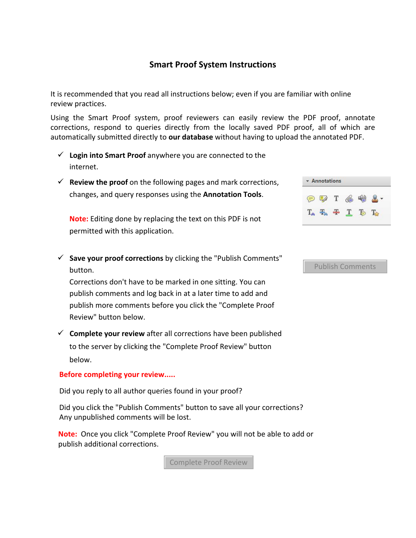## **Smart Proof System Instructions**

It is recommended that you read all instructions below; even if you are familiar with online review practices.

Using the Smart Proof system, proof reviewers can easily review the PDF proof, annotate corrections, respond to queries directly from the locally saved PDF proof, all of which are automatically submitted directly to **our database** without having to upload the annotated PDF.

- **Login into Smart Proof** anywhere you are connected to the internet.
- **Review the proof** on the following pages and mark corrections, changes, and query responses using the **Annotation Tools**.

**Note:** Editing done by replacing the text on this PDF is not permitted with this application.

| $\checkmark$ Save your proof corrections by clicking the "Publish Comments" |
|-----------------------------------------------------------------------------|
| button.                                                                     |

Corrections don't have to be marked in one sitting. You can publish comments and log back in at a later time to add and publish more comments before you click the "Complete Proof Review" button below.

 $\checkmark$  **Complete your review** after all corrections have been published to the server by clicking the "Complete Proof Review" button below.

### **Before completing your review.....**

Did you reply to all author queries found in your proof?

Did you click the "Publish Comments" button to save all your corrections? Any unpublished comments will be lost.

**Note:** Once you click "Complete Proof Review" you will not be able to add or publish additional corrections.

Complete Proof Review

|  | U. | - |  |
|--|----|---|--|
|  |    |   |  |

#### Publish Comments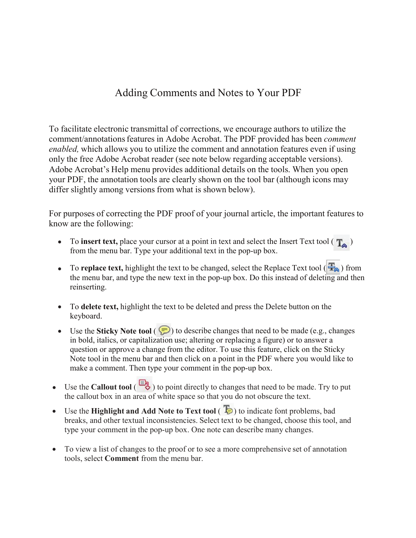## Adding Comments and Notes to Your PDF

To facilitate electronic transmittal of corrections, we encourage authors to utilize the comment/annotations features in Adobe Acrobat. The PDF provided has been *comment enabled,* which allows you to utilize the comment and annotation features even if using only the free Adobe Acrobat reader (see note below regarding acceptable versions). Adobe Acrobat's Help menu provides additional details on the tools. When you open your PDF, the annotation tools are clearly shown on the tool bar (although icons may differ slightly among versions from what is shown below).

For purposes of correcting the PDF proof of your journal article, the important features to know are the following:

- To **insert text**, place your cursor at a point in text and select the Insert Text tool  $(\mathbf{T}_\bullet)$ from the menu bar. Type your additional text in the pop-up box.
- To **replace text**, highlight the text to be changed, select the Replace Text tool ( $\frac{1}{2}$ ) from the menu bar, and type the new text in the pop-up box. Do this instead of deleting and then reinserting.
- To **delete text,** highlight the text to be deleted and press the Delete button on the keyboard.
- Use the **Sticky Note tool** ( $\bigcirc$ ) to describe changes that need to be made (e.g., changes in bold, italics, or capitalization use; altering or replacing a figure) or to answer a question or approve a change from the editor. To use this feature, click on the Sticky Note tool in the menu bar and then click on a point in the PDF where you would like to make a comment. Then type your comment in the pop-up box.
- Use the **Callout tool** (  $\Box$  ) to point directly to changes that need to be made. Try to put the callout box in an area of white space so that you do not obscure the text.
- Use the **Highlight and Add Note to Text tool**  $\left(\begin{array}{c} \bullet \\ \bullet \end{array}\right)$  to indicate font problems, bad breaks, and other textual inconsistencies. Select text to be changed, choose this tool, and type your comment in the pop-up box. One note can describe many changes.
- To view a list of changes to the proof or to see a more comprehensive set of annotation tools, select **Comment** from the menu bar.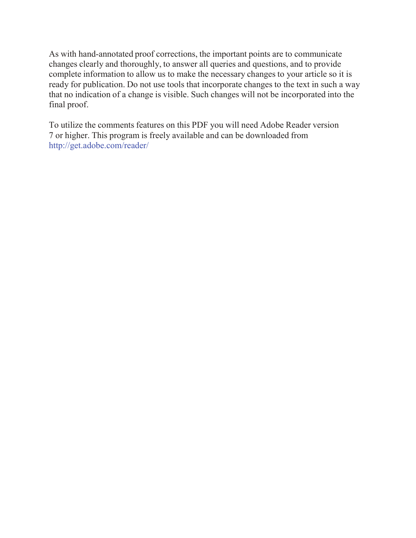As with hand-annotated proof corrections, the important points are to communicate changes clearly and thoroughly, to answer all queries and questions, and to provide complete information to allow us to make the necessary changes to your article so it is ready for publication. Do not use tools that incorporate changes to the text in such a way that no indication of a change is visible. Such changes will not be incorporated into the final proof.

To utilize the comments features on this PDF you will need Adobe Reader version 7 or higher. This program is freely available and can be downloaded from http://get.adobe.com/reader/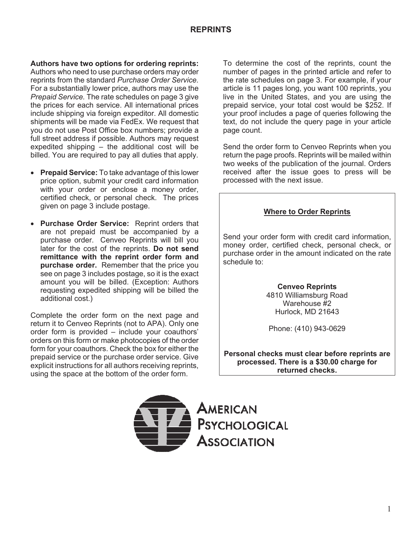## **REPRINTS**

**Authors have two options for ordering reprints:**  Authors who need to use purchase orders may order reprints from the standard *Purchase Order Service.*  For a substantially lower price, authors may use the *Prepaid Service.* The rate schedules on page 3 give the prices for each service. All international prices include shipping via foreign expeditor. All domestic shipments will be made via FedEx. We request that you do not use Post Office box numbers; provide a full street address if possible. Authors may request expedited shipping – the additional cost will be billed. You are required to pay all duties that apply.

- **Prepaid Service:** To take advantage of this lower price option, submit your credit card information with your order or enclose a money order, certified check, or personal check. The prices given on page 3 include postage.
- **Purchase Order Service: Reprint orders that** are not prepaid must be accompanied by a purchase order. Cenveo Reprints will bill you later for the cost of the reprints. **Do not send remittance with the reprint order form and purchase order.** Remember that the price you see on page 3 includes postage, so it is the exact amount you will be billed. (Exception: Authors requesting expedited shipping will be billed the additional cost.)

Complete the order form on the next page and return it to Cenveo Reprints (not to APA). Only one order form is provided – include your coauthors' orders on this form or make photocopies of the order form for your coauthors. Check the box for either the prepaid service or the purchase order service. Give explicit instructions for all authors receiving reprints, using the space at the bottom of the order form.

To determine the cost of the reprints, count the number of pages in the printed article and refer to the rate schedules on page 3. For example, if your article is 11 pages long, you want 100 reprints, you live in the United States, and you are using the prepaid service, your total cost would be \$252. If your proof includes a page of queries following the text, do not include the query page in your article page count.

Send the order form to Cenveo Reprints when you return the page proofs. Reprints will be mailed within two weeks of the publication of the journal. Orders received after the issue goes to press will be processed with the next issue.

## **Where to Order Reprints**

Send your order form with credit card information, money order, certified check, personal check, or purchase order in the amount indicated on the rate schedule to:

> **Cenveo Reprints**  4810 Williamsburg Road Warehouse #2 Hurlock, MD 21643

Phone: (410) 943-0629

**Personal checks must clear before reprints are processed. There is a \$30.00 charge for returned checks.**

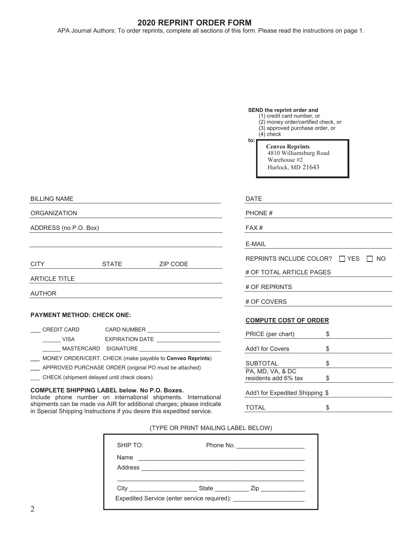## **2020 REPRINT ORDER FORM**

APA Journal Authors: To order reprints, complete all sections of this form. Please read the instructions on page 1.

#### **SEND the reprint order and**

- (1) credit card number, or (2) money order/certified check, or (3) approved purchase order, or
	- $(4)$  check

**to:** 

 **Cenveo Reprints** 4810 Williamsburg Road Warehouse #2 Hurlock, MD 21643

| <b>BILLING NAME</b>        |              |                 |  |  |  |  |  |  |  |  |
|----------------------------|--------------|-----------------|--|--|--|--|--|--|--|--|
| <b>ORGANIZATION</b>        |              |                 |  |  |  |  |  |  |  |  |
| ADDRESS (no P.O. Box)      |              |                 |  |  |  |  |  |  |  |  |
|                            |              |                 |  |  |  |  |  |  |  |  |
|                            |              |                 |  |  |  |  |  |  |  |  |
| <b>CITY</b>                | <b>STATE</b> | <b>ZIP CODE</b> |  |  |  |  |  |  |  |  |
| <b>ARTICLE TITLE</b>       |              |                 |  |  |  |  |  |  |  |  |
| <b>AUTHOR</b>              |              |                 |  |  |  |  |  |  |  |  |
|                            |              |                 |  |  |  |  |  |  |  |  |
| PAYMENT METHOD: CHECK ONE: |              |                 |  |  |  |  |  |  |  |  |

#### **PAYMENT METHOD: CHECK ONE:**

| CREDIT CARD          | <b>CARD NUMBER</b>                                        |
|----------------------|-----------------------------------------------------------|
| VISA                 | EXPIRATION DATE                                           |
| MASTERCARD SIGNATURE |                                                           |
|                      | MONEY ORDER/CERT. CHECK (make payable to Cenveo Reprints) |

- 
- **\_\_\_** APPROVED PURCHASE ORDER (original PO must be attached) \_\_\_ CHECK (shipment delayed until check clears)
- 

**COMPLETE SHIPPING LABEL below. No P.O. Boxes.**  Include phone number on international shipments. International shipments can be made via AIR for additional charges; please indicate in Special Shipping Instructions if you desire this expedited service.

| DATE                                         |    |  |
|----------------------------------------------|----|--|
| <b>PHONE#</b>                                |    |  |
| FAX#                                         |    |  |
| E-MAIL                                       |    |  |
| REPRINTS INCLUDE COLOR? $\Box$ YES $\Box$ NO |    |  |
| # OF TOTAL ARTICLE PAGES                     |    |  |
| # OF REPRINTS                                |    |  |
| # OF COVERS                                  |    |  |
| <b>COMPUTE COST OF ORDER</b>                 |    |  |
| PRICE (per chart)                            | \$ |  |
| Add'I for Covers                             | \$ |  |
|                                              |    |  |

| <b>SUBTOTAL</b>                 | Œ |
|---------------------------------|---|
| PA, MD, VA, & DC                |   |
| residents add 6% tax            |   |
|                                 |   |
| Add'l for Expedited Shipping \$ |   |

TOTAL \$

(TYPE OR PRINT MAILING LABEL BELOW)

| SHIP TO: | Phone No. _______________________ |
|----------|-----------------------------------|
| Name     |                                   |
|          |                                   |
| City     | <b>State State Zip</b>            |
|          |                                   |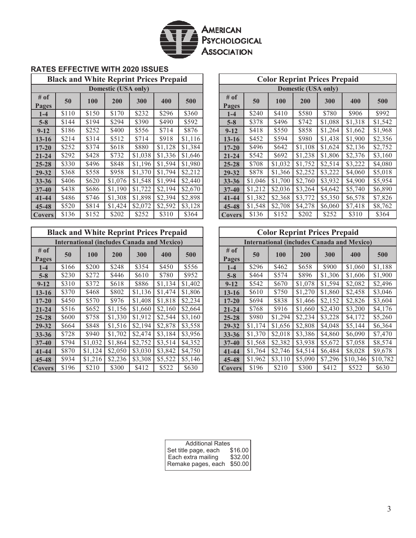

#### **RATES EFFECTIVE WITH 2020 ISSUES**

| <b>Black and White Reprint Prices Prepaid</b> |       |       |         |         |         |         |               |
|-----------------------------------------------|-------|-------|---------|---------|---------|---------|---------------|
|                                               |       |       |         |         |         |         |               |
| # of<br>Pages                                 | 50    | 100   | 200     | 300     | 400     | 500     | # of<br>Pages |
| $1-4$                                         | \$110 | \$150 | \$170   | \$232   | \$296   | \$360   | $1-4$         |
| $5 - 8$                                       | \$144 | \$194 | \$294   | \$390   | \$490   | \$592   | $5 - 8$       |
| $9 - 12$                                      | \$186 | \$252 | \$400   | \$556   | \$714   | \$876   | $9 - 12$      |
| $13 - 16$                                     | \$214 | \$314 | \$512   | \$714   | \$918   | \$1,116 | $13 - 16$     |
| $17 - 20$                                     | \$252 | \$374 | \$618   | \$880   | \$1,128 | \$1,384 | $17 - 20$     |
| $21 - 24$                                     | \$292 | \$428 | \$732   | \$1,038 | \$1,336 | \$1,646 | $21 - 24$     |
| $25 - 28$                                     | \$330 | \$496 | \$848   | \$1,196 | \$1,594 | \$1,980 | $25 - 28$     |
| $29 - 32$                                     | \$368 | \$558 | \$958   | \$1,370 | \$1,794 | \$2,212 | 29-32         |
| $33 - 36$                                     | \$406 | \$620 | \$1,076 | \$1,548 | \$1,994 | \$2,440 | $33 - 36$     |
| $37 - 40$                                     | \$438 | \$686 | \$1,190 | \$1,722 | \$2,194 | \$2,670 | $37 - 40$     |
| $41 - 44$                                     | \$486 | \$746 | \$1,308 | \$1,898 | \$2,394 | \$2,898 | 41-44         |
| $45 - 48$                                     | \$520 | \$814 | \$1,424 | \$2,072 | \$2,592 | \$3,128 | $45 - 48$     |
| <b>Covers</b>                                 | \$136 | \$152 | \$202   | \$252   | \$310   | \$364   | Cover         |

| <b>Black and White Reprint Prices Prepaid</b>     |       |         |         |         |         |         |  |  |  |  |  |  |
|---------------------------------------------------|-------|---------|---------|---------|---------|---------|--|--|--|--|--|--|
| <b>International (includes Canada and Mexico)</b> |       |         |         |         |         |         |  |  |  |  |  |  |
| # of<br>Pages                                     | 50    | 100     | 200     | 300     | 400     | 500     |  |  |  |  |  |  |
| $1 - 4$                                           | \$166 | \$200   | \$248   | \$354   | \$450   | \$556   |  |  |  |  |  |  |
| $5 - 8$                                           | \$230 | \$272   | \$446   | \$610   | \$780   | \$952   |  |  |  |  |  |  |
| $9 - 12$                                          | \$310 | \$372   | \$618   | \$886   | \$1,134 | \$1,402 |  |  |  |  |  |  |
| $13 - 16$                                         | \$370 | \$468   | \$802   | \$1,136 | \$1,474 | \$1,806 |  |  |  |  |  |  |
| $17 - 20$                                         | \$450 | \$570   | \$976   | \$1,408 | \$1,818 | \$2,234 |  |  |  |  |  |  |
| $21 - 24$                                         | \$516 | \$652   | \$1,156 | \$1,660 | \$2,160 | \$2,664 |  |  |  |  |  |  |
| $25 - 28$                                         | \$600 | \$758   | \$1,330 | \$1,912 | \$2,544 | \$3,160 |  |  |  |  |  |  |
| 29-32                                             | \$664 | \$848   | \$1,516 | \$2,194 | \$2,878 | \$3,558 |  |  |  |  |  |  |
| $33 - 36$                                         | \$728 | \$940   | \$1,702 | \$2,474 | \$3,184 | \$3,956 |  |  |  |  |  |  |
| $37 - 40$                                         | \$794 | \$1,032 | \$1,864 | \$2,752 | \$3,514 | \$4,352 |  |  |  |  |  |  |
| $41 - 44$                                         | \$870 | \$1,124 | \$2,050 | \$3,030 | \$3,842 | \$4,750 |  |  |  |  |  |  |
| $45 - 48$                                         | \$934 | \$1,216 | \$2,236 | \$3,308 | \$5,522 | \$5,146 |  |  |  |  |  |  |
| <b>Covers</b>                                     | \$196 | \$210   | \$300   | \$412   | \$522   | \$630   |  |  |  |  |  |  |

| <b>Black and White Reprint Prices Prepaid</b> |       |       |         |         |         |         |                 |         |         | <b>Color Reprint Prices Prepaid</b> |         |         |         |
|-----------------------------------------------|-------|-------|---------|---------|---------|---------|-----------------|---------|---------|-------------------------------------|---------|---------|---------|
| Domestic (USA only)                           |       |       |         |         |         |         |                 |         |         | Domestic (USA only)                 |         |         |         |
| $#$ of<br>Pages                               | 50    | 100   | 200     | 300     | 400     | 500     | $#$ of<br>Pages | 50      | 100     | 200                                 | 300     | 400     | 500     |
| $1-4$                                         | \$110 | \$150 | \$170   | \$232   | \$296   | \$360   | $1-4$           | \$240   | \$410   | \$580                               | \$780   | \$906   | \$992   |
| $5 - 8$                                       | \$144 | \$194 | \$294   | \$390   | \$490   | \$592   | $5 - 8$         | \$378   | \$496   | \$742                               | \$1,088 | \$1,318 | \$1,542 |
| $9 - 12$                                      | \$186 | \$252 | \$400   | \$556   | \$714   | \$876   | $9 - 12$        | \$418   | \$550   | \$858                               | \$1,264 | \$1,662 | \$1,968 |
| $13 - 16$                                     | \$214 | \$314 | \$512   | \$714   | \$918   | \$1,116 | $13 - 16$       | \$452   | \$594   | \$980                               | \$1,438 | \$1,900 | \$2,356 |
| $17 - 20$                                     | \$252 | \$374 | \$618   | \$880   | \$1,128 | \$1,384 | $17 - 20$       | \$496   | \$642   | \$1,108                             | \$1,624 | \$2,136 | \$2,752 |
| $21 - 24$                                     | \$292 | \$428 | \$732   | \$1,038 | \$1,336 | \$1,646 | $21 - 24$       | \$542   | \$692   | \$1,238                             | \$1,806 | \$2,376 | \$3,160 |
| $25 - 28$                                     | \$330 | \$496 | \$848   | \$1,196 | \$1,594 | \$1,980 | $25 - 28$       | \$708   | \$1,032 | \$1,752                             | \$2,514 | \$3,222 | \$4,080 |
| 29-32                                         | \$368 | \$558 | \$958   | \$1,370 | \$1,794 | \$2,212 | $29 - 32$       | \$878   | \$1,366 | \$2,252                             | \$3,222 | \$4,060 | \$5,018 |
| $33 - 36$                                     | \$406 | \$620 | \$1,076 | \$1,548 | \$1,994 | \$2,440 | $33 - 36$       | \$1,046 | \$1,700 | \$2,760                             | \$3,932 | \$4,900 | \$5,954 |
| $37 - 40$                                     | \$438 | \$686 | \$1,190 | \$1,722 | \$2,194 | \$2,670 | $37 - 40$       | \$1,212 | \$2,036 | \$3,264                             | \$4,642 | \$5,740 | \$6,890 |
| $41 - 44$                                     | \$486 | \$746 | \$1,308 | \$1,898 | \$2,394 | \$2,898 | $41 - 44$       | \$1,382 | \$2,368 | \$3,772                             | \$5,350 | \$6,578 | \$7,826 |
| $45 - 48$                                     | \$520 | \$814 | \$1,424 | \$2,072 | \$2,592 | \$3,128 | $45 - 48$       | \$1,548 | \$2,708 | \$4,278                             | \$6,060 | \$7,418 | \$8,762 |
| <b>Covers</b>                                 | \$136 | \$152 | \$202   | \$252   | \$310   | \$364   | <b>Covers</b>   | \$136   | \$152   | \$202                               | \$252   | \$310   | \$364   |

|                                                   |       | <b>Black and White Reprint Prices Prepaid</b> |         |         |         |         | <b>Color Reprint Prices Prepaid</b>               |               |         |            |         |         |          |          |
|---------------------------------------------------|-------|-----------------------------------------------|---------|---------|---------|---------|---------------------------------------------------|---------------|---------|------------|---------|---------|----------|----------|
| <b>International (includes Canada and Mexico)</b> |       |                                               |         |         |         |         | <b>International (includes Canada and Mexico)</b> |               |         |            |         |         |          |          |
| $#$ of<br>Pages                                   | 50    | 100                                           | 200     | 300     | 400     | 500     |                                                   | # of<br>Pages | 50      | <b>100</b> | 200     | 300     | 400      | 500      |
| $1-4$                                             | \$166 | \$200                                         | \$248   | \$354   | \$450   | \$556   |                                                   | $1-4$         | \$296   | \$462      | \$658   | \$900   | \$1,060  | \$1,188  |
| $5 - 8$                                           | \$230 | \$272                                         | \$446   | \$610   | \$780   | \$952   |                                                   | $5 - 8$       | \$464   | \$574      | \$896   | \$1,306 | \$1,606  | \$1,900  |
| $9 - 12$                                          | \$310 | \$372                                         | \$618   | \$886   | \$1,134 | \$1,402 |                                                   | $9 - 12$      | \$542   | \$670      | \$1,078 | \$1,594 | \$2,082  | \$2,496  |
| $13 - 16$                                         | \$370 | \$468                                         | \$802   | \$1,136 | \$1,474 | \$1,806 |                                                   | $13 - 16$     | \$610   | \$750      | \$1,270 | \$1,860 | \$2,458  | \$3,046  |
| $17 - 20$                                         | \$450 | \$570                                         | \$976   | \$1,408 | \$1,818 | \$2,234 |                                                   | $17 - 20$     | \$694   | \$838      | \$1,466 | \$2,152 | \$2,826  | \$3,604  |
| $21 - 24$                                         | \$516 | \$652                                         | \$1,156 | \$1,660 | \$2,160 | \$2,664 |                                                   | $21 - 24$     | \$768   | \$916      | \$1,660 | \$2,430 | \$3,200  | \$4,176  |
| $25 - 28$                                         | \$600 | \$758                                         | \$1,330 | \$1,912 | \$2,544 | \$3,160 |                                                   | $25 - 28$     | \$980   | \$1,294    | \$2,234 | \$3,228 | \$4,172  | \$5,260  |
| $29 - 32$                                         | \$664 | \$848                                         | \$1,516 | \$2,194 | \$2,878 | \$3,558 |                                                   | 29-32         | \$1,174 | \$1,656    | \$2,808 | \$4,048 | \$5,144  | \$6,364  |
| $33 - 36$                                         | \$728 | \$940                                         | \$1,702 | \$2,474 | \$3,184 | \$3,956 |                                                   | $33 - 36$     | \$1,370 | \$2,018    | \$3,386 | \$4,860 | \$6,090  | \$7,470  |
| $37 - 40$                                         | \$794 | \$1,032                                       | \$1,864 | \$2,752 | \$3,514 | \$4,352 |                                                   | $37 - 40$     | \$1,568 | \$2,382    | \$3,938 | \$5,672 | \$7,058  | \$8,574  |
| $41 - 44$                                         | \$870 | \$1,124                                       | \$2,050 | \$3,030 | \$3,842 | \$4,750 |                                                   | $41 - 44$     | \$1,764 | \$2,746    | \$4,514 | \$6.484 | \$8,028  | \$9,678  |
| $45 - 48$                                         | \$934 | \$1,216                                       | \$2,236 | \$3,308 | \$5,522 | \$5,146 |                                                   | $45 - 48$     | \$1,962 | \$3,110    | \$5,090 | \$7,296 | \$10,346 | \$10,782 |
| Covers                                            | \$196 | \$210                                         | \$300   | \$412   | \$522   | \$630   |                                                   | <b>Covers</b> | \$196   | \$210      | \$300   | \$412   | \$522    | \$630    |

| <b>Additional Rates</b> |         |
|-------------------------|---------|
| Set title page, each    | \$16.00 |
| Each extra mailing      | \$32.00 |
| Remake pages, each      | \$50.00 |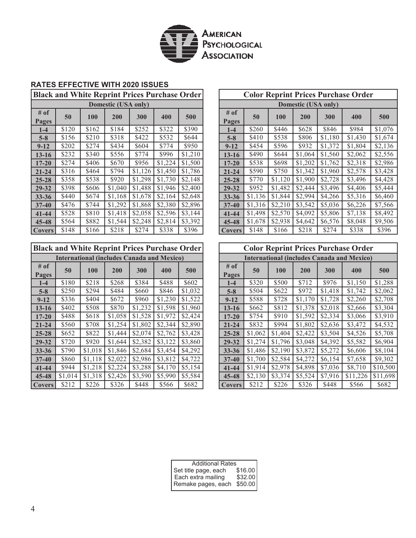

## **RATES EFFECTIVE WITH 2020 ISSUES**

**Black and White Reprint Prices Purchase Order**

| <b>Domestic (USA only)</b> |       |            |         |         |         |         |  |  |  |  |
|----------------------------|-------|------------|---------|---------|---------|---------|--|--|--|--|
| # of<br>Pages              | 50    | <b>100</b> | 200     | 300     | 400     | 500     |  |  |  |  |
| $1-4$                      | \$120 | \$162      | \$184   | \$252   | \$322   | \$390   |  |  |  |  |
| $5 - 8$                    | \$156 | \$210      | \$318   | \$422   | \$532   | \$644   |  |  |  |  |
| $9 - 12$                   | \$202 | \$274      | \$434   | \$604   | \$774   | \$950   |  |  |  |  |
| $13 - 16$                  | \$232 | \$340      | \$556   | \$774   | \$996   | \$1,210 |  |  |  |  |
| $17 - 20$                  | \$274 | \$406      | \$670   | \$956   | \$1,224 | \$1,500 |  |  |  |  |
| $21 - 24$                  | \$316 | \$464      | \$794   | \$1,126 | \$1,450 | \$1,786 |  |  |  |  |
| $25 - 28$                  | \$358 | \$538      | \$920   | \$1,298 | \$1,730 | \$2,148 |  |  |  |  |
| $29 - 32$                  | \$398 | \$606      | \$1,040 | \$1,488 | \$1,946 | \$2,400 |  |  |  |  |
| $33 - 36$                  | \$440 | \$674      | \$1,168 | \$1,678 | \$2,164 | \$2,648 |  |  |  |  |
| $37 - 40$                  | \$476 | \$744      | \$1,292 | \$1,868 | \$2,380 | \$2,896 |  |  |  |  |
| $41 - 44$                  | \$528 | \$810      | \$1,418 | \$2,058 | \$2,596 | \$3,144 |  |  |  |  |
| 45-48                      | \$564 | \$882      | \$1,544 | \$2,248 | \$2,814 | \$3,392 |  |  |  |  |
| <b>Covers</b>              | \$148 | \$166      | \$218   | \$274   | \$338   | \$396   |  |  |  |  |

# **Black and White Reprint Prices Purchase Order**

| <b>International (includes Canada and Mexico)</b> |         |            |         |         |         |         |               |
|---------------------------------------------------|---------|------------|---------|---------|---------|---------|---------------|
| # of<br>Pages                                     | 50      | <b>100</b> | 200     | 300     | 400     | 500     | # of<br>Pages |
| $1 - 4$                                           | \$180   | \$218      | \$268   | \$384   | \$488   | \$602   | $1-4$         |
| $5 - 8$                                           | \$250   | \$294      | \$484   | \$660   | \$846   | \$1,032 | $5-8$         |
| $9 - 12$                                          | \$336   | \$404      | \$672   | \$960   | \$1,230 | \$1,522 | $9 - 12$      |
| $13 - 16$                                         | \$402   | \$508      | \$870   | \$1,232 | \$1,598 | \$1,960 | $13 - 16$     |
| $17 - 20$                                         | \$488   | \$618      | \$1,058 | \$1,528 | \$1,972 | \$2,424 | $17 - 20$     |
| $21 - 24$                                         | \$560   | \$708      | \$1,254 | \$1,802 | \$2,344 | \$2,890 | $21 - 24$     |
| $25 - 28$                                         | \$652   | \$822      | \$1,444 | \$2,074 | \$2,762 | \$3,428 | $25 - 28$     |
| $29 - 32$                                         | \$720   | \$920      | \$1,644 | \$2,382 | \$3,122 | \$3,860 | 29-32         |
| $33 - 36$                                         | \$790   | \$1,018    | \$1,846 | \$2,684 | \$3,454 | \$4,292 | $33 - 36$     |
| $37 - 40$                                         | \$860   | \$1,118    | \$2,022 | \$2,986 | \$3,812 | \$4,722 | $37 - 40$     |
| $41 - 44$                                         | \$944   | \$1,218    | \$2,224 | \$3,288 | \$4,170 | \$5,154 | 41-44         |
| 45-48                                             | \$1,014 | \$1,318    | \$2,426 | \$3,590 | \$5,990 | \$5,584 | 45-48         |
| <b>Covers</b>                                     | \$212   | \$226      | \$326   | \$448   | \$566   | \$682   | Cover         |

| <b>Black and White Reprint Prices Purchase Order</b> |       |       |                     |         | <b>Color Reprint Prices Purchase Order</b> |         |                                                          |                     |         |         |         |         |         |  |
|------------------------------------------------------|-------|-------|---------------------|---------|--------------------------------------------|---------|----------------------------------------------------------|---------------------|---------|---------|---------|---------|---------|--|
|                                                      |       |       | Domestic (USA only) |         |                                            |         |                                                          | Domestic (USA only) |         |         |         |         |         |  |
| $#$ of<br>Pages                                      | 50    | 100   | 200                 | 300     | 400                                        | 500     | $#$ of<br>50<br>200<br>300<br>400<br><b>100</b><br>Pages |                     |         |         |         |         | 500     |  |
| $1-4$                                                | \$120 | \$162 | \$184               | \$252   | \$322                                      | \$390   | $1-4$                                                    | \$260               | \$446   | \$628   | \$846   | \$984   | \$1,076 |  |
| $5 - 8$                                              | \$156 | \$210 | \$318               | \$422   | \$532                                      | \$644   | $5 - 8$                                                  | \$410               | \$538   | \$806   | \$1,180 | \$1,430 | \$1,674 |  |
| $9 - 12$                                             | \$202 | \$274 | \$434               | \$604   | \$774                                      | \$950   | $9 - 12$                                                 | \$454               | \$596   | \$932   | \$1,372 | \$1,804 | \$2,136 |  |
| $13 - 16$                                            | \$232 | \$340 | \$556               | \$774   | \$996                                      | \$1,210 | $13 - 16$                                                | \$490               | \$644   | \$1,064 | \$1,560 | \$2,062 | \$2,556 |  |
| $17 - 20$                                            | \$274 | \$406 | \$670               | \$956   | \$1,224                                    | \$1,500 | $17 - 20$                                                | \$538               | \$698   | \$1,202 | \$1,762 | \$2,318 | \$2,986 |  |
| $21 - 24$                                            | \$316 | \$464 | \$794               | \$1,126 | \$1,450                                    | \$1,786 | $21 - 24$                                                | \$590               | \$750   | \$1,342 | \$1,960 | \$2,578 | \$3,428 |  |
| $25 - 28$                                            | \$358 | \$538 | \$920               | \$1,298 | \$1,730                                    | \$2,148 | $25 - 28$                                                | \$770               | \$1,120 | \$1,900 | \$2,728 | \$3,496 | \$4,428 |  |
| 29-32                                                | \$398 | \$606 | \$1,040             | \$1,488 | \$1,946                                    | \$2,400 | $29 - 32$                                                | \$952               | \$1,482 | \$2,444 | \$3,496 | \$4,406 | \$5,444 |  |
| $33 - 36$                                            | \$440 | \$674 | \$1.168             | \$1,678 | \$2,164                                    | \$2,648 | $33 - 36$                                                | \$1,136             | \$1,844 | \$2,994 | \$4,266 | \$5,316 | \$6,460 |  |
| $37 - 40$                                            | \$476 | \$744 | \$1,292             | \$1,868 | \$2,380                                    | \$2,896 | $37 - 40$                                                | \$1,316             | \$2,210 | \$3,542 | \$5,036 | \$6,226 | \$7,566 |  |
| $41 - 44$                                            | \$528 | \$810 | \$1,418             | \$2,058 | \$2,596                                    | \$3,144 | $41 - 44$                                                | \$1,498             | \$2,570 | \$4,092 | \$5,806 | \$7,138 | \$8,492 |  |
| $45 - 48$                                            | \$564 | \$882 | \$1,544             | \$2,248 | \$2,814                                    | \$3,392 | $45 - 48$                                                | \$1,678             | \$2,938 | \$4,642 | \$6,576 | \$8,048 | \$9,506 |  |
| Covers                                               | \$148 | \$166 | \$218               | \$274   | \$338                                      | \$396   | Covers                                                   | \$148               | \$166   | \$218   | \$274   | \$338   | \$396   |  |

| <b>Black and White Reprint Prices Purchase Order</b> |         |         |                                                   |         | <b>Color Reprint Prices Purchase Order</b> |         |                                                   |         |            |            |         |          |          |
|------------------------------------------------------|---------|---------|---------------------------------------------------|---------|--------------------------------------------|---------|---------------------------------------------------|---------|------------|------------|---------|----------|----------|
|                                                      |         |         | <b>International (includes Canada and Mexico)</b> |         |                                            |         | <b>International (includes Canada and Mexico)</b> |         |            |            |         |          |          |
| $#$ of<br>Pages                                      | 50      | 100     | 200                                               | 300     | 400                                        | 500     | $#$ of<br><b>Pages</b>                            | 50      | <b>100</b> | <b>200</b> | 300     | 400      | 500      |
| $1 - 4$                                              | \$180   | \$218   | \$268                                             | \$384   | \$488                                      | \$602   | $1 - 4$                                           | \$320   | \$500      | \$712      | \$976   | \$1,150  | \$1,288  |
| $5 - 8$                                              | \$250   | \$294   | \$484                                             | \$660   | \$846                                      | \$1,032 | $5 - 8$                                           | \$504   | \$622      | \$972      | \$1,418 | \$1,742  | \$2,062  |
| $9 - 12$                                             | \$336   | \$404   | \$672                                             | \$960   | \$1,230                                    | \$1,522 | $9 - 12$                                          | \$588   | \$728      | \$1,170    | \$1,728 | \$2,260  | \$2,708  |
| $13 - 16$                                            | \$402   | \$508   | \$870                                             | \$1,232 | \$1,598                                    | \$1,960 | 13-16                                             | \$662   | \$812      | \$1,378    | \$2,018 | \$2,666  | \$3,304  |
| $17 - 20$                                            | \$488   | \$618   | \$1,058                                           | \$1,528 | \$1,972                                    | \$2,424 | $17 - 20$                                         | \$754   | \$910      | \$1,592    | \$2,334 | \$3,066  | \$3,910  |
| $21 - 24$                                            | \$560   | \$708   | \$1,254                                           | \$1,802 | \$2,344                                    | \$2,890 | $21 - 24$                                         | \$832   | \$994      | \$1,802    | \$2,636 | \$3,472  | \$4,532  |
| $25 - 28$                                            | \$652   | \$822   | \$1,444                                           | \$2,074 | \$2,762                                    | \$3,428 | $25 - 28$                                         | \$1,062 | \$1,404    | \$2,422    | \$3,504 | \$4,526  | \$5,708  |
| 29-32                                                | \$720   | \$920   | \$1,644                                           | \$2,382 | \$3,122                                    | \$3,860 | 29-32                                             | \$1,274 | \$1,796    | \$3,048    | \$4,392 | \$5,582  | \$6,904  |
| $33 - 36$                                            | \$790   | \$1,018 | \$1,846                                           | \$2,684 | \$3,454                                    | \$4,292 | $33 - 36$                                         | \$1,486 | \$2,190    | \$3,872    | \$5,272 | \$6,606  | \$8,104  |
| $37 - 40$                                            | \$860   | \$1,118 | \$2,022                                           | \$2,986 | \$3,812                                    | \$4,722 | $37 - 40$                                         | \$1,700 | \$2,584    | \$4,272    | \$6,154 | \$7,658  | \$9,302  |
| $41 - 44$                                            | \$944   | \$1,218 | \$2,224                                           | \$3,288 | \$4,170                                    | \$5,154 | $41 - 44$                                         | \$1,914 | \$2,978    | \$4,898    | \$7,036 | \$8,710  | \$10,500 |
| 45-48                                                | \$1,014 | \$1,318 | \$2,426                                           | \$3,590 | \$5,990                                    | \$5,584 | $45 - 48$                                         | \$2,130 | \$3,374    | \$5,524    | \$7,916 | \$11,226 | \$11,698 |
| <b>Covers</b>                                        | \$212   | \$226   | \$326                                             | \$448   | \$566                                      | \$682   | <b>Covers</b>                                     | \$212   | \$226      | \$326      | \$448   | \$566    | \$682    |

| <b>Additional Rates</b>                    |         |
|--------------------------------------------|---------|
| Set title page, each<br>Each extra mailing | \$16.00 |
|                                            | \$32.00 |
| Remake pages, each                         | \$50.00 |
|                                            |         |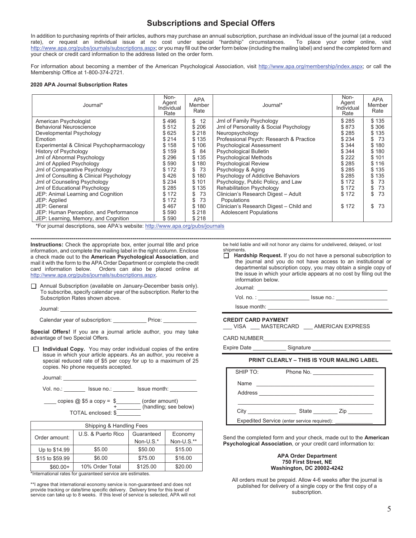## **Subscriptions and Special Offers**

In addition to purchasing reprints of their articles, authors may purchase an annual subscription, purchase an individual issue of the journal (at a reduced rate), or request an individual issue at no cost under special "hardship" circumstances. To place your order online, visit http://www.apa.org/pubs/journals/subscriptions.aspx; or you may fill out the order form below (including the mailing label) and send the completed form and your check or credit card information to the address listed on the order form.

For information about becoming a member of the American Psychological Association, visit http://www.apa.org/membership/index.aspx; or call the Membership Office at 1-800-374-2721.

#### **2020 APA Journal Subscription Rates**

| Journal*                                   | Non-<br>Agent<br>Individual<br>Rate | <b>APA</b><br>Member<br>Rate | Journal*                                | Non-<br>Agent<br>Individual<br>Rate | <b>APA</b><br>Member<br>Rate |
|--------------------------------------------|-------------------------------------|------------------------------|-----------------------------------------|-------------------------------------|------------------------------|
| American Psychologist                      | \$496                               | 12<br>\$                     | Jrnl of Family Psychology               | \$285                               | \$135                        |
| <b>Behavioral Neuroscience</b>             | \$512                               | \$206                        | Jrnl of Personality & Social Psychology | \$873                               | \$306                        |
| Developmental Psychology                   | \$625                               | \$218                        | Neuropsychology                         | \$285                               | \$135                        |
| Emotion                                    | \$214                               | \$135                        | Professional Psych: Research & Practice | \$234                               | -73<br>\$                    |
| Experimental & Clinical Psychopharmacology | \$158                               | \$106                        | <b>Psychological Assessment</b>         | \$344                               | \$180                        |
| History of Psychology                      | \$159                               | 84<br>S                      | <b>Psychological Bulletin</b>           | \$344                               | \$180                        |
| Jrnl of Abnormal Psychology                | \$296                               | \$135                        | <b>Psychological Methods</b>            | \$222                               | \$101                        |
| Jrnl of Applied Psychology                 | \$590                               | \$180                        | <b>Psychological Review</b>             | \$285                               | \$116                        |
| Jrnl of Comparative Psychology             | \$172                               | 73<br>S                      | Psychology & Aging                      | \$285                               | \$135                        |
| Jrnl of Consulting & Clinical Psychology   | \$426                               | \$180                        | Psychology of Addictive Behaviors       | \$285                               | \$135                        |
| Jrnl of Counseling Psychology              | \$234                               | \$101                        | Psychology, Public Policy, and Law      | \$172                               | 73<br>\$                     |
| Jrnl of Educational Psychology             | \$285                               | \$135                        | <b>Rehabilitation Psychology</b>        | \$172                               | 73<br>\$                     |
| JEP: Animal Learning and Cognition         | \$172                               | 73<br>\$                     | Clinician's Research Digest - Adult     | \$172                               | 73<br>\$                     |
| JEP: Applied                               | \$172                               | 73<br>\$                     | Populations                             |                                     |                              |
| JEP: General                               | \$467                               | \$180                        | Clinician's Research Digest - Child and | \$172                               | 73<br>\$                     |
| JEP: Human Perception, and Performance     | \$590                               | \$218                        | <b>Adolescent Populations</b>           |                                     |                              |
| JEP: Learning, Memory, and Cognition       | \$590                               | \$218                        |                                         |                                     |                              |

\*For journal descriptions, see APA's website: http://www.apa.org/pubs/journals

**Instructions:** Check the appropriate box, enter journal title and price information, and complete the mailing label in the right column. Enclose a check made out to the **American Psychological Association**, and mail it with the form to the APA Order Department or complete the credit card information below. Orders can also be placed online at http://www.apa.org/pubs/journals/subscriptions.aspx.

 Annual Subscription (available on January-December basis only). To subscribe, specify calendar year of the subscription. Refer to the Subscription Rates shown above.

Calendar year of subscription: \_\_\_\_\_\_\_\_\_\_\_\_\_\_\_ Price: \_\_\_\_\_\_

**Special Offers!** If you are a journal article author, you may take advantage of two Special Offers.

**Individual Copy.** You may order individual copies of the entire issue in which your article appears. As an author, you receive a special reduced rate of \$5 per copy for up to a maximum of 25 copies. No phone requests accepted.

| Journal:  |                            |                                         |
|-----------|----------------------------|-----------------------------------------|
| Vol. no.: | Issue no.:                 | Issue month:                            |
|           | copies $@$ \$5 a copy = \$ | (order amount)<br>(handling; see below) |

TOTAL enclosed: \$\_\_\_\_\_\_\_\_

| Shipping & Handling Fees |                    |            |            |  |  |  |  |  |  |  |
|--------------------------|--------------------|------------|------------|--|--|--|--|--|--|--|
| Order amount:            | U.S. & Puerto Rico | Guaranteed | Economy    |  |  |  |  |  |  |  |
|                          |                    | Non-U.S.*  | Non-U.S.** |  |  |  |  |  |  |  |
| Up to \$14.99            | \$5.00             | \$50.00    | \$15.00    |  |  |  |  |  |  |  |
| \$15 to \$59.99          | \$6.00             | \$75.00    | \$16.00    |  |  |  |  |  |  |  |
| $$60.00+$                | 10% Order Total    | \$125.00   | \$20.00    |  |  |  |  |  |  |  |

\*International rates for guaranteed service are estimates.

\*\*I agree that international economy service is non-guaranteed and does not provide tracking or date/time specific delivery. Delivery time for this level of service can take up to 8 weeks. If this level of service is selected, APA will not

**--------------------------------------------------------------------------------------------------------------------------------------------------------------------------------**  be held liable and will not honor any claims for undelivered, delayed, or lost shipments.

> **Hardship Request.** If you do not have a personal subscription to the journal and you do not have access to an institutional or departmental subscription copy, you may obtain a single copy of the issue in which your article appears at no cost by filing out the information below.

Journal: \_\_\_\_\_\_\_\_\_\_\_\_\_\_\_\_\_\_\_\_\_\_\_\_\_\_\_\_\_\_\_\_\_\_\_\_\_\_\_\_\_\_\_

Vol. no. : \_\_\_\_\_\_\_\_\_\_\_\_\_\_\_\_\_ Issue no.: \_\_\_\_\_\_\_\_\_\_\_\_\_\_\_\_\_

Issue month:

#### **CREDIT CARD PAYMENT**

| <b>VISA</b> | <b>MASTERCARD</b> | AMERICAN EXPRESS |
|-------------|-------------------|------------------|
|-------------|-------------------|------------------|

CARD NUMBER

Expire Date \_\_\_\_\_\_\_\_\_\_\_\_\_\_\_\_ Signature \_

#### **PRINT CLEARLY – THIS IS YOUR MAILING LABEL**

| SHIP TO: |                                                                                                                       | Phone No.                            |
|----------|-----------------------------------------------------------------------------------------------------------------------|--------------------------------------|
| Name     | <u> 1980 - Jan Barat, prima de la provincia de la provincia de la provincia de la provincia de la provincia de la</u> |                                      |
|          | Address                                                                                                               |                                      |
|          |                                                                                                                       |                                      |
|          |                                                                                                                       | State _______________ Zip __________ |
|          | Expedited Service (enter service required):                                                                           |                                      |

Send the completed form and your check, made out to the **American Psychological Association**, or your credit card information to:

#### **APA Order Department 750 First Street, NE Washington, DC 20002-4242**

All orders must be prepaid. Allow 4-6 weeks after the journal is published for delivery of a single copy or the first copy of a subscription.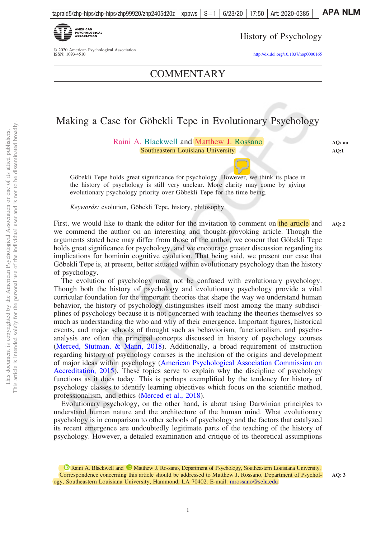

© 2020 American Psychological Association<br>ISSN: 1093-4510

History of Psychology

<http://dx.doi.org/10.1037/hop0000165>

**COMMENTARY** 

## Making a Case for Göbekli Tepe in Evolutionary Psychology

Raini A. Blackwell and Matthew J. Rossano Southeastern Louisiana University

**AQ: au AQ:1**

**AQ: 3**

Göbekli Tepe holds great significance for psychology. However, we think its place in the history of psychology is still very unclear. More clarity may come by giving evolutionary psychology priority over Göbekli Tepe for the time being.

*Keywords:* evolution, Göbekli Tepe, history, philosophy

First, we would like to thank the editor for the invitation to comment on the article and we commend the author on an interesting and thought-provoking article. Though the arguments stated here may differ from those of the author, we concur that Göbekli Tepe holds great significance for psychology, and we encourage greater discussion regarding its implications for hominin cognitive evolution. That being said, we present our case that Göbekli Tepe is, at present, better situated within evolutionary psychology than the history of psychology. **AQ: 2**

The evolution of psychology must not be confused with evolutionary psychology. Though both the history of psychology and evolutionary psychology provide a vital curricular foundation for the important theories that shape the way we understand human behavior, the history of psychology distinguishes itself most among the many subdisciplines of psychology because it is not concerned with teaching the theories themselves so much as understanding the who and why of their emergence. Important figures, historical events, and major schools of thought such as behaviorism, functionalism, and psychoanalysis are often the principal concepts discussed in history of psychology courses [\(Merced, Stutman, & Mann, 2018\)](#page-10-0). Additionally, a broad requirement of instruction regarding history of psychology courses is the inclusion of the origins and development of major ideas within psychology [\(American Psychological Association Commission on](#page-10-0) [Accreditation, 2015\)](#page-10-0). These topics serve to explain why the discipline of psychology functions as it does today. This is perhaps exemplified by the tendency for history of psychology classes to identify learning objectives which focus on the scientific method, professionalism, and ethics [\(Merced et al., 2018\)](#page-10-0).

Evolutionary psychology, on the other hand, is about using Darwinian principles to understand human nature and the architecture of the human mind. What evolutionary psychology is in comparison to other schools of psychology and the factors that catalyzed its recent emergence are undoubtedly legitimate parts of the teaching of the history of psychology. However, a detailed examination and critique of its theoretical assumptions

<sup>&</sup>lt;sup>1</sup> [Raini A. Blackwell](https://orcid.org/0000-0002-5260-7491) and <sup>1</sup> [Matthew J. Rossano,](https://orcid.org/0000-0002-1484-1105) Department of Psychology, Southeastern Louisiana University. Correspondence concerning this article should be addressed to Matthew J. Rossano, Department of Psychology, Southeastern Louisiana University, Hammond, LA 70402. E-mail: [mrossano@selu.edu](mailto:mrossano@selu.edu)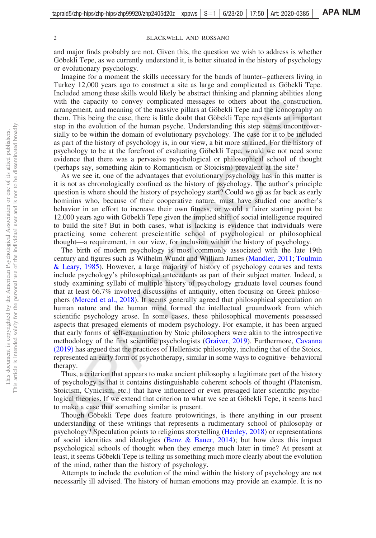#### 2 BLACKWELL AND ROSSANO

and major finds probably are not. Given this, the question we wish to address is whether Göbekli Tepe, as we currently understand it, is better situated in the history of psychology or evolutionary psychology.

Imagine for a moment the skills necessary for the bands of hunter–gatherers living in Turkey 12,000 years ago to construct a site as large and complicated as Göbekli Tepe. Included among these skills would likely be abstract thinking and planning abilities along with the capacity to convey complicated messages to others about the construction, arrangement, and meaning of the massive pillars at Göbekli Tepe and the iconography on them. This being the case, there is little doubt that Göbekli Tepe represents an important step in the evolution of the human psyche. Understanding this step seems uncontroversially to be within the domain of evolutionary psychology. The case for it to be included as part of the history of psychology is, in our view, a bit more strained. For the history of psychology to be at the forefront of evaluating Göbekli Tepe, would we not need some evidence that there was a pervasive psychological or philosophical school of thought (perhaps say, something akin to Romanticism or Stoicism) prevalent at the site?

As we see it, one of the advantages that evolutionary psychology has in this matter is it is not as chronologically confined as the history of psychology. The author's principle question is where should the history of psychology start? Could we go as far back as early hominins who, because of their cooperative nature, must have studied one another's behavior in an effort to increase their own fitness, or would a fairer starting point be 12,000 years ago with Göbekli Tepe given the implied shift of social intelligence required to build the site? But in both cases, what is lacking is evidence that individuals were practicing some coherent prescientific school of psychological or philosophical thought—a requirement, in our view, for inclusion within the history of psychology.

The birth of modern psychology is most commonly associated with the late 19th century and figures such as Wilhelm Wundt and William James [\(Mandler, 2011;](#page-10-0) [Toulmin](#page-11-0) [& Leary, 1985\)](#page-11-0). However, a large majority of history of psychology courses and texts include psychology's philosophical antecedents as part of their subject matter. Indeed, a study examining syllabi of multiple history of psychology graduate level courses found that at least 66.7% involved discussions of antiquity, often focusing on Greek philosophers [\(Merced et al., 2018\)](#page-10-0). It seems generally agreed that philosophical speculation on human nature and the human mind formed the intellectual groundwork from which scientific psychology arose. In some cases, these philosophical movements possessed aspects that presaged elements of modern psychology. For example, it has been argued that early forms of self-examination by Stoic philosophers were akin to the introspective methodology of the first scientific psychologists [\(Graiver, 2019\)](#page-10-0). Furthermore, [Cavanna](#page-10-0) [\(2019\)](#page-10-0) has argued that the practices of Hellenistic philosophy, including that of the Stoics, represented an early form of psychotherapy, similar in some ways to cognitive–behavioral therapy.

Thus, a criterion that appears to make ancient philosophy a legitimate part of the history of psychology is that it contains distinguishable coherent schools of thought (Platonism, Stoicism, Cynicism, etc.) that have influenced or even presaged later scientific psychological theories. If we extend that criterion to what we see at Göbekli Tepe, it seems hard to make a case that something similar is present.

Though Göbekli Tepe does feature protowritings, is there anything in our present understanding of these writings that represents a rudimentary school of philosophy or psychology? Speculation points to religious storytelling [\(Henley, 2018\)](#page-10-0) or representations of social identities and ideologies [\(Benz & Bauer, 2014\)](#page-10-0); but how does this impact psychological schools of thought when they emerge much later in time? At present at least, it seems Göbekli Tepe is telling us something much more clearly about the evolution of the mind, rather than the history of psychology.

Attempts to include the evolution of the mind within the history of psychology are not necessarily ill advised. The history of human emotions may provide an example. It is no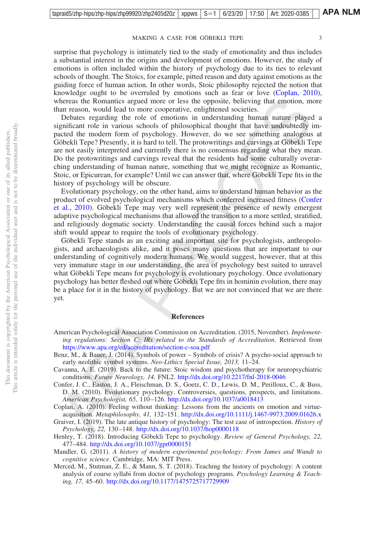#### MAKING A CASE FOR GÖBEKLI TEPE 3

<span id="page-10-0"></span>surprise that psychology is intimately tied to the study of emotionality and thus includes a substantial interest in the origins and development of emotions. However, the study of emotions is often included within the history of psychology due to its ties to relevant schools of thought. The Stoics, for example, pitted reason and duty against emotions as the guiding force of human action. In other words, Stoic philosophy rejected the notion that knowledge ought to be overruled by emotions such as fear or love (Coplan, 2010), whereas the Romantics argued more or less the opposite, believing that emotion, more than reason, would lead to more cooperative, enlightened societies.

Debates regarding the role of emotions in understanding human nature played a significant role in various schools of philosophical thought that have undoubtedly impacted the modern form of psychology. However, do we see something analogous at Göbekli Tepe? Presently, it is hard to tell. The protowritings and carvings at Göbekli Tepe are not easily interpreted and currently there is no consensus regarding what they mean. Do the protowritings and carvings reveal that the residents had some culturally overarching understanding of human nature, something that we might recognize as Romantic, Stoic, or Epicurean, for example? Until we can answer that, where Göbekli Tepe fits in the history of psychology will be obscure.

Evolutionary psychology, on the other hand, aims to understand human behavior as the product of evolved psychological mechanisms which conferred increased fitness (Confer et al., 2010). Göbekli Tepe may very well represent the presence of newly emergent adaptive psychological mechanisms that allowed the transition to a more settled, stratified, and religiously dogmatic society. Understanding the causal forces behind such a major shift would appear to require the tools of evolutionary psychology.

Göbekli Tepe stands as an exciting and important site for psychologists, anthropologists, and archaeologists alike, and it poses many questions that are important to our understanding of cognitively modern humans. We would suggest, however, that at this very immature stage in our understanding, the area of psychology best suited to unravel what Göbekli Tepe means for psychology is evolutionary psychology. Once evolutionary psychology has better fleshed out where Göbekli Tepe fits in hominin evolution, there may be a place for it in the history of psychology. But we are not convinced that we are there yet.

#### **References**

- American Psychological Association Commission on Accreditation. (2015, November). *Implementing regulations: Section C: IRs related to the Standards of Accreditation*. Retrieved from <https://www.apa.org/ed/accreditation/section-c-soa.pdf>
- Benz, M., & Bauer, J. (2014). Symbols of power Symbols of crisis? A psycho-social approach to early neolithic symbol systems. *Neo-Lithics Special Issue, 2013,* 11–24.
- Cavanna, A. E. (2019). Back to the future: Stoic wisdom and psychotherapy for neuropsychiatric conditions. *Future Neurology, 14,* FNL2. <http://dx.doi.org/10.2217/fnl-2018-0046>
- Confer, J. C., Easton, J. A., Fleischman, D. S., Goetz, C. D., Lewis, D. M., Perilloux, C., & Buss, D. M. (2010). Evolutionary psychology. Controversies, questions, prospects, and limitations. *American Psychologist, 65,* 110–126. <http://dx.doi.org/10.1037/a0018413>

Coplan, A. (2010). Feeling without thinking: Lessons from the ancients on emotion and virtueacquisition. *Metaphilosophy, 41,* 132–151. <http://dx.doi.org/10.1111/j.1467-9973.2009.01626.x>

Graiver, I. (2019). The late antique history of psychology: The test case of introspection. *History of Psychology, 22,* 130–148. <http://dx.doi.org/10.1037/hop0000118>

Henley, T. (2018). Introducing Göbekli Tepe to psychology. *Review of General Psychology, 22,* 477–484. <http://dx.doi.org/10.1037/gpr0000151>

Mandler, G. (2011). *A history of modern experimental psychology: From James and Wundt to cognitive science*. Cambridge, MA: MIT Press.

Merced, M., Stutman, Z. E., & Mann, S. T. (2018). Teaching the history of psychology: A content analysis of course syllabi from doctor of psychology programs. *Psychology Learning & Teaching, 17,* 45–60. <http://dx.doi.org/10.1177/1475725717729909>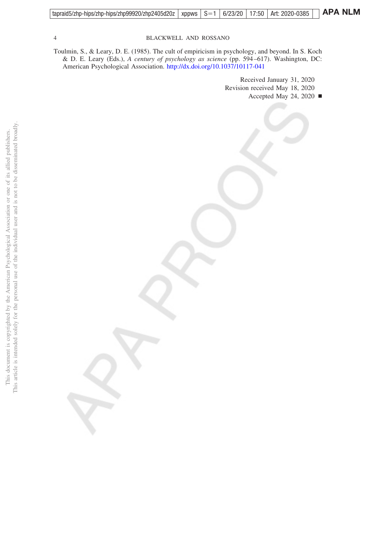<span id="page-11-0"></span>

| tapraid5/zhp-hips/zhp-hips/zhp99920/zhp2405d20z   xppws   S=1   6/23/20   17:50   Art: 2020-0385     APA NLM |  |  |  |  |
|--------------------------------------------------------------------------------------------------------------|--|--|--|--|
|                                                                                                              |  |  |  |  |

#### 4 BLACKWELL AND ROSSANO

Toulmin, S., & Leary, D. E. (1985). The cult of empiricism in psychology, and beyond. In S. Koch & D. E. Leary (Eds.), *A century of psychology as science* (pp. 594–617). Washington, DC: American Psychological Association. <http://dx.doi.org/10.1037/10117-041>

> Received January 31, 2020 Revision received May 18, 2020 Accepted May 24, 2020  $\blacksquare$